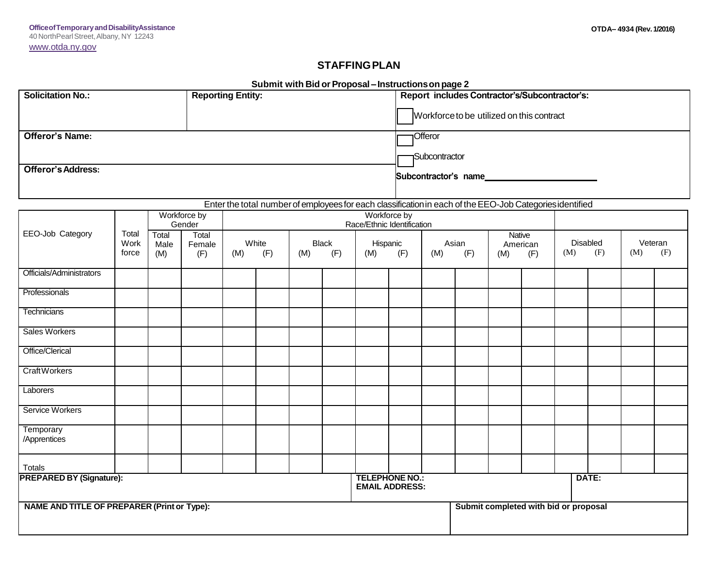## **STAFFINGPLAN**

|                                                                                                                                          | Submit with Bid or Proposal - Instructions on page 2 |                 |                        |                            |     |              |            |                                                                                            |            |                       |            |                                       |            |                 |            |         |            |  |  |
|------------------------------------------------------------------------------------------------------------------------------------------|------------------------------------------------------|-----------------|------------------------|----------------------------|-----|--------------|------------|--------------------------------------------------------------------------------------------|------------|-----------------------|------------|---------------------------------------|------------|-----------------|------------|---------|------------|--|--|
| <b>Solicitation No.:</b>                                                                                                                 | <b>Reporting Entity:</b>                             |                 |                        |                            |     |              |            | Report includes Contractor's/Subcontractor's:<br>Workforce to be utilized on this contract |            |                       |            |                                       |            |                 |            |         |            |  |  |
|                                                                                                                                          |                                                      |                 |                        |                            |     |              |            |                                                                                            |            |                       |            |                                       |            |                 |            |         |            |  |  |
|                                                                                                                                          |                                                      |                 |                        |                            |     |              |            |                                                                                            |            |                       |            |                                       |            |                 |            |         |            |  |  |
| <b>Offeror's Name:</b>                                                                                                                   |                                                      |                 |                        |                            |     |              |            |                                                                                            |            | Offeror               |            |                                       |            |                 |            |         |            |  |  |
|                                                                                                                                          |                                                      |                 |                        |                            |     |              |            |                                                                                            |            | Subcontractor         |            |                                       |            |                 |            |         |            |  |  |
| <b>Offeror's Address:</b>                                                                                                                |                                                      |                 |                        |                            |     |              |            |                                                                                            |            | Subcontractor's name_ |            |                                       |            |                 |            |         |            |  |  |
|                                                                                                                                          |                                                      |                 |                        |                            |     |              |            |                                                                                            |            |                       |            |                                       |            |                 |            |         |            |  |  |
|                                                                                                                                          |                                                      |                 |                        |                            |     |              |            |                                                                                            |            |                       |            |                                       |            |                 |            |         |            |  |  |
| Enter the total number of employees for each classification in each of the EEO-Job Categories identified<br>Workforce by<br>Workforce by |                                                      |                 |                        |                            |     |              |            |                                                                                            |            |                       |            |                                       |            |                 |            |         |            |  |  |
| EEO-Job Category                                                                                                                         | Total                                                | Gender<br>Total |                        | Race/Ethnic Identification |     |              |            |                                                                                            |            |                       |            |                                       |            |                 |            |         |            |  |  |
|                                                                                                                                          | Work                                                 | Male            | Total<br>Female<br>(F) | White                      |     | <b>Black</b> |            | Hispanic                                                                                   |            | Asian                 |            | Native<br>American                    |            | <b>Disabled</b> |            | Veteran |            |  |  |
|                                                                                                                                          | force                                                | (M)             |                        | (M)                        | (F) |              | (M)<br>(F) |                                                                                            | (F)<br>(M) |                       | (F)<br>(M) |                                       | (F)<br>(M) |                 | (M)<br>(F) |         | (M)<br>(F) |  |  |
| Officials/Administrators                                                                                                                 |                                                      |                 |                        |                            |     |              |            |                                                                                            |            |                       |            |                                       |            |                 |            |         |            |  |  |
| Professionals                                                                                                                            |                                                      |                 |                        |                            |     |              |            |                                                                                            |            |                       |            |                                       |            |                 |            |         |            |  |  |
|                                                                                                                                          |                                                      |                 |                        |                            |     |              |            |                                                                                            |            |                       |            |                                       |            |                 |            |         |            |  |  |
| Technicians                                                                                                                              |                                                      |                 |                        |                            |     |              |            |                                                                                            |            |                       |            |                                       |            |                 |            |         |            |  |  |
| <b>Sales Workers</b>                                                                                                                     |                                                      |                 |                        |                            |     |              |            |                                                                                            |            |                       |            |                                       |            |                 |            |         |            |  |  |
| Office/Clerical                                                                                                                          |                                                      |                 |                        |                            |     |              |            |                                                                                            |            |                       |            |                                       |            |                 |            |         |            |  |  |
| <b>CraftWorkers</b>                                                                                                                      |                                                      |                 |                        |                            |     |              |            |                                                                                            |            |                       |            |                                       |            |                 |            |         |            |  |  |
| Laborers                                                                                                                                 |                                                      |                 |                        |                            |     |              |            |                                                                                            |            |                       |            |                                       |            |                 |            |         |            |  |  |
| Service Workers                                                                                                                          |                                                      |                 |                        |                            |     |              |            |                                                                                            |            |                       |            |                                       |            |                 |            |         |            |  |  |
| Temporary                                                                                                                                |                                                      |                 |                        |                            |     |              |            |                                                                                            |            |                       |            |                                       |            |                 |            |         |            |  |  |
| /Apprentices                                                                                                                             |                                                      |                 |                        |                            |     |              |            |                                                                                            |            |                       |            |                                       |            |                 |            |         |            |  |  |
| Totals                                                                                                                                   |                                                      |                 |                        |                            |     |              |            |                                                                                            |            |                       |            |                                       |            |                 |            |         |            |  |  |
| <b>PREPARED BY (Signature):</b><br><b>TELEPHONE NO.:</b><br><b>EMAIL ADDRESS:</b>                                                        |                                                      |                 |                        |                            |     |              |            |                                                                                            |            |                       |            |                                       |            | DATE:           |            |         |            |  |  |
| NAME AND TITLE OF PREPARER (Print or Type):                                                                                              |                                                      |                 |                        |                            |     |              |            |                                                                                            |            |                       |            | Submit completed with bid or proposal |            |                 |            |         |            |  |  |